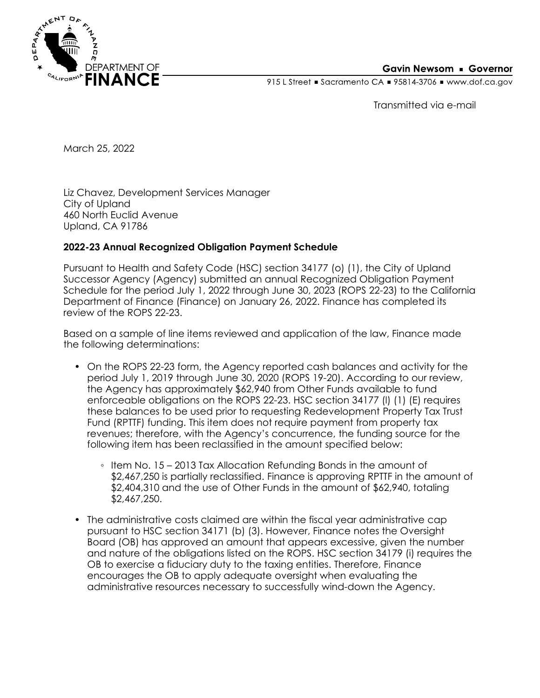

### **Gavin Newsom • Governor**

915 L Street Gacramento CA = 95814-3706 Www.dof.ca.gov

Transmitted via e-mail

March 25, 2022

Liz Chavez, Development Services Manager City of Upland 460 North Euclid Avenue Upland, CA 91786

### **2022-23 Annual Recognized Obligation Payment Schedule**

Pursuant to Health and Safety Code (HSC) section 34177 (o) (1), the City of Upland Successor Agency (Agency) submitted an annual Recognized Obligation Payment Schedule for the period July 1, 2022 through June 30, 2023 (ROPS 22-23) to the California Department of Finance (Finance) on January 26, 2022. Finance has completed its review of the ROPS 22-23.

Based on a sample of line items reviewed and application of the law, Finance made the following determinations:

- On the ROPS 22-23 form, the Agency reported cash balances and activity for the period July 1, 2019 through June 30, 2020 (ROPS 19-20). According to our review, the Agency has approximately \$62,940 from Other Funds available to fund enforceable obligations on the ROPS 22-23. HSC section 34177 (l) (1) (E) requires these balances to be used prior to requesting Redevelopment Property Tax Trust Fund (RPTTF) funding. This item does not require payment from property tax revenues; therefore, with the Agency's concurrence, the funding source for the following item has been reclassified in the amount specified below:
	- Item No. 15 2013 Tax Allocation Refunding Bonds in the amount of \$2,467,250 is partially reclassified. Finance is approving RPTTF in the amount of \$2,404,310 and the use of Other Funds in the amount of \$62,940, totaling \$2,467,250.
- The administrative costs claimed are within the fiscal year administrative cap pursuant to HSC section 34171 (b) (3). However, Finance notes the Oversight Board (OB) has approved an amount that appears excessive, given the number and nature of the obligations listed on the ROPS. HSC section 34179 (i) requires the OB to exercise a fiduciary duty to the taxing entities. Therefore, Finance encourages the OB to apply adequate oversight when evaluating the administrative resources necessary to successfully wind-down the Agency.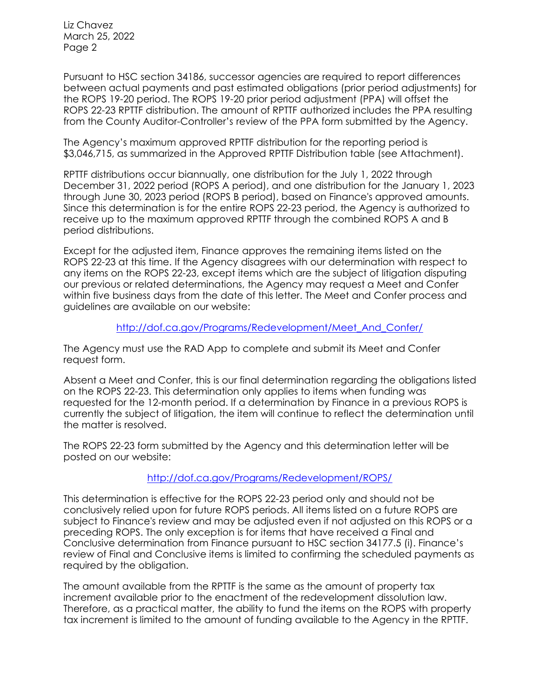Liz Chavez March 25, 2022 Page 2

Pursuant to HSC section 34186, successor agencies are required to report differences between actual payments and past estimated obligations (prior period adjustments) for the ROPS 19-20 period. The ROPS 19-20 prior period adjustment (PPA) will offset the ROPS 22-23 RPTTF distribution. The amount of RPTTF authorized includes the PPA resulting from the County Auditor-Controller's review of the PPA form submitted by the Agency.

The Agency's maximum approved RPTTF distribution for the reporting period is \$3,046,715, as summarized in the Approved RPTTF Distribution table (see Attachment).

RPTTF distributions occur biannually, one distribution for the July 1, 2022 through December 31, 2022 period (ROPS A period), and one distribution for the January 1, 2023 through June 30, 2023 period (ROPS B period), based on Finance's approved amounts. Since this determination is for the entire ROPS 22-23 period, the Agency is authorized to receive up to the maximum approved RPTTF through the combined ROPS A and B period distributions.

Except for the adjusted item, Finance approves the remaining items listed on the ROPS 22-23 at this time. If the Agency disagrees with our determination with respect to any items on the ROPS 22-23, except items which are the subject of litigation disputing our previous or related determinations, the Agency may request a Meet and Confer within five business days from the date of this letter. The Meet and Confer process and guidelines are available on our website:

### [http://dof.ca.gov/Programs/Redevelopment/Meet\\_And\\_Confer/](http://dof.ca.gov/Programs/Redevelopment/Meet_And_Confer/)

The Agency must use the RAD App to complete and submit its Meet and Confer request form.

Absent a Meet and Confer, this is our final determination regarding the obligations listed on the ROPS 22-23. This determination only applies to items when funding was requested for the 12-month period. If a determination by Finance in a previous ROPS is currently the subject of litigation, the item will continue to reflect the determination until the matter is resolved.

The ROPS 22-23 form submitted by the Agency and this determination letter will be posted on our website:

## <http://dof.ca.gov/Programs/Redevelopment/ROPS/>

This determination is effective for the ROPS 22-23 period only and should not be conclusively relied upon for future ROPS periods. All items listed on a future ROPS are subject to Finance's review and may be adjusted even if not adjusted on this ROPS or a preceding ROPS. The only exception is for items that have received a Final and Conclusive determination from Finance pursuant to HSC section 34177.5 (i). Finance's review of Final and Conclusive items is limited to confirming the scheduled payments as required by the obligation.

The amount available from the RPTTF is the same as the amount of property tax increment available prior to the enactment of the redevelopment dissolution law. Therefore, as a practical matter, the ability to fund the items on the ROPS with property tax increment is limited to the amount of funding available to the Agency in the RPTTF.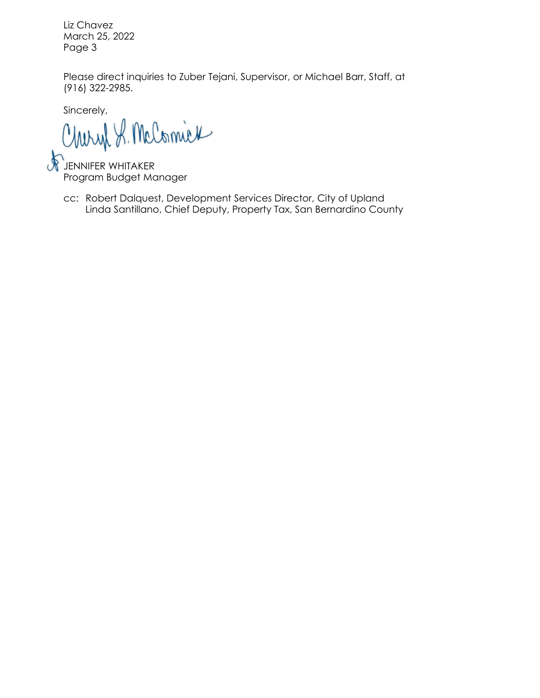Liz Chavez March 25, 2022 Page 3

Please direct inquiries to Zuber Tejani, Supervisor, or Michael Barr, Staff, at (916) 322-2985.

Sincerely,

Charyl S. McComick

 $\ast$ **JENNIFER WHITAKER** Program Budget Manager

Linda Santillano, Chief Deputy, Property Tax, San Bernardino County cc: Robert Dalquest, Development Services Director, City of Upland